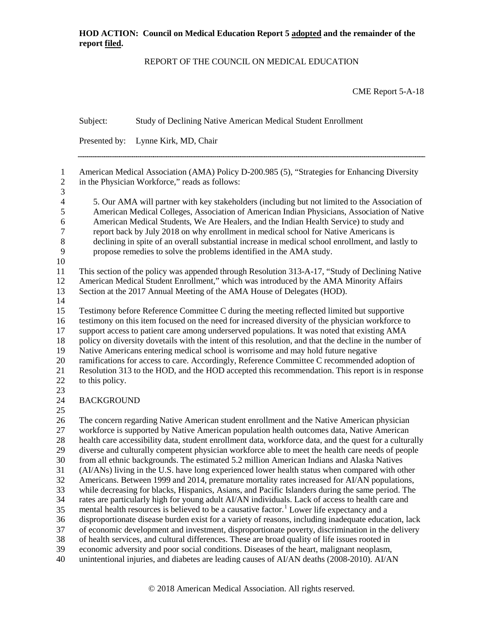#### REPORT OF THE COUNCIL ON MEDICAL EDUCATION

CME Report 5-A-18

Subject: Study of Declining Native American Medical Student Enrollment Presented by: Lynne Kirk, MD, Chair American Medical Association (AMA) Policy D-200.985 (5), "Strategies for Enhancing Diversity in the Physician Workforce," reads as follows: 4 5. Our AMA will partner with key stakeholders (including but not limited to the Association of<br>5 American Medical Colleges, Association of American Indian Physicians, Association of Native 5 American Medical Colleges, Association of American Indian Physicians, Association of Native<br>6 American Medical Students, We Are Healers, and the Indian Health Service) to study and 6 American Medical Students, We Are Healers, and the Indian Health Service) to study and<br>
7 report back by July 2018 on why enrollment in medical school for Native Americans is report back by July 2018 on why enrollment in medical school for Native Americans is 8 declining in spite of an overall substantial increase in medical school enrollment, and lastly to<br>9 propose remedies to solve the problems identified in the AMA study. propose remedies to solve the problems identified in the AMA study. This section of the policy was appended through Resolution 313-A-17, "Study of Declining Native American Medical Student Enrollment," which was introduced by the AMA Minority Affairs Section at the 2017 Annual Meeting of the AMA House of Delegates (HOD). Testimony before Reference Committee C during the meeting reflected limited but supportive testimony on this item focused on the need for increased diversity of the physician workforce to support access to patient care among underserved populations. It was noted that existing AMA policy on diversity dovetails with the intent of this resolution, and that the decline in the number of Native Americans entering medical school is worrisome and may hold future negative ramifications for access to care. Accordingly, Reference Committee C recommended adoption of Resolution 313 to the HOD, and the HOD accepted this recommendation. This report is in response 22 to this policy. BACKGROUND The concern regarding Native American student enrollment and the Native American physician workforce is supported by Native American population health outcomes data, Native American health care accessibility data, student enrollment data, workforce data, and the quest for a culturally diverse and culturally competent physician workforce able to meet the health care needs of people from all ethnic backgrounds. The estimated 5.2 million American Indians and Alaska Natives (AI/ANs) living in the U.S. have long experienced lower health status when compared with other Americans. Between 1999 and 2014, premature mortality rates increased for AI/AN populations, while decreasing for blacks, Hispanics, Asians, and Pacific Islanders during the same period. The rates are particularly high for young adult AI/AN individuals. Lack of access to health care and 35 mental health resources is believed to be a causative factor.<sup>[1](#page-10-0)</sup> Lower life expectancy and a disproportionate disease burden exist for a variety of reasons, including inadequate education, lack of economic development and investment, disproportionate poverty, discrimination in the delivery of health services, and cultural differences. These are broad quality of life issues rooted in economic adversity and poor social conditions. Diseases of the heart, malignant neoplasm, unintentional injuries, and diabetes are leading causes of AI/AN deaths (2008-2010). AI/AN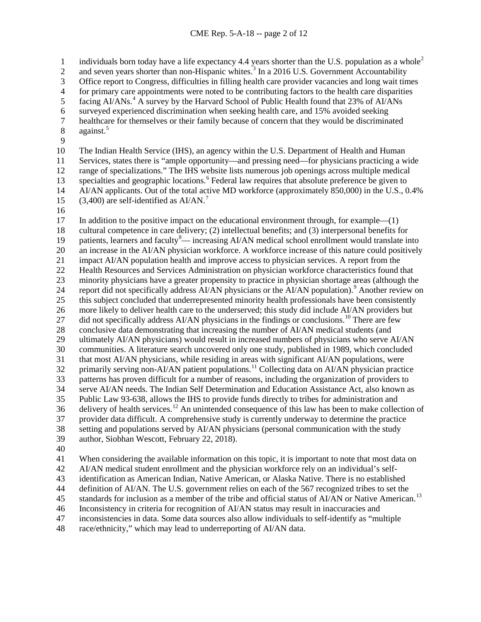individuals born today have a life expectancy 4.4 years shorter than the U.S. population as a whole<sup>[2](#page-10-1)</sup>

2 and seven years shorter than non-Hispanic whites.<sup>[3](#page-10-2)</sup> In a 2016 U.S. Government Accountability

Office report to Congress, difficulties in filling health care provider vacancies and long wait times

4 for primary care appointments were noted to be contributing factors to the health care disparities<br>5 facing AI/ANs.<sup>4</sup> A survey by the Harvard School of Public Health found that 23% of AI/ANs

5 facing AI/ANs.<sup>[4](#page-10-3)</sup> A survey by the Harvard School of Public Health found that 23% of AI/ANs

surveyed experienced discrimination when seeking health care, and 15% avoided seeking

 healthcare for themselves or their family because of concern that they would be discriminated against.<sup>5</sup> against.

 The Indian Health Service (IHS), an agency within the U.S. Department of Health and Human Services, states there is "ample opportunity—and pressing need—for physicians practicing a wide range of specializations." The IHS website lists numerous job openings across multiple medical 13 specialties and geographic locations.<sup>[6](#page-10-5)</sup> Federal law requires that absolute preference be given to AI/AN applicants. Out of the total active MD workforce (approximately 850,000) in the U.S., 0.4% 15 (3,400) are self-identified as  $AI/AN$ .<sup>[7](#page-10-6)</sup>

17 In addition to the positive impact on the educational environment through, for example—(1) cultural competence in care delivery; (2) intellectual benefits; and (3) interpersonal benefits for 19 patients, learners and faculty<sup>[8](#page-10-7)</sup>— increasing AI/AN medical school enrollment would translate into an increase in the AI/AN physician workforce. A workforce increase of this nature could positively impact AI/AN population health and improve access to physician services. A report from the Health Resources and Services Administration on physician workforce characteristics found that minority physicians have a greater propensity to practice in physician shortage areas (although the 24 report did not specifically address AI/AN physicians or the AI/AN population).<sup>[9](#page-10-8)</sup> Another review on this subject concluded that underrepresented minority health professionals have been consistently more likely to deliver health care to the underserved; this study did include AI/AN providers but 27 did not specifically address AI/AN physicians in the findings or conclusions.<sup>[10](#page-10-9)</sup> There are few 28 conclusive data demonstrating that increasing the number of AI/AN medical students (and<br>29 ultimately AI/AN physicians) would result in increased numbers of physicians who serve *l*  ultimately AI/AN physicians) would result in increased numbers of physicians who serve AI/AN communities. A literature search uncovered only one study, published in 1989, which concluded that most AI/AN physicians, while residing in areas with significant AI/AN populations, were  $\frac{1}{2}$  primarily serving non-AI/AN patient populations.<sup>[11](#page-10-10)</sup> Collecting data on AI/AN physician practice patterns has proven difficult for a number of reasons, including the organization of providers to serve AI/AN needs. The Indian Self Determination and Education Assistance Act, also known as Public Law 93-638, allows the IHS to provide funds directly to tribes for administration and delivery of health services.<sup>[12](#page-10-11)</sup> An unintended consequence of this law has been to make collection of provider data difficult. A comprehensive study is currently underway to determine the practice setting and populations served by AI/AN physicians (personal communication with the study author, Siobhan Wescott, February 22, 2018).

When considering the available information on this topic, it is important to note that most data on

AI/AN medical student enrollment and the physician workforce rely on an individual's self-

identification as American Indian, Native American, or Alaska Native. There is no established

definition of AI/AN. The U.S. government relies on each of the 567 recognized tribes to set the

45 standards for inclusion as a member of the tribe and official status of AI/AN or Native American.<sup>[13](#page-10-12)</sup>

Inconsistency in criteria for recognition of AI/AN status may result in inaccuracies and

inconsistencies in data. Some data sources also allow individuals to self-identify as "multiple

race/ethnicity," which may lead to underreporting of AI/AN data.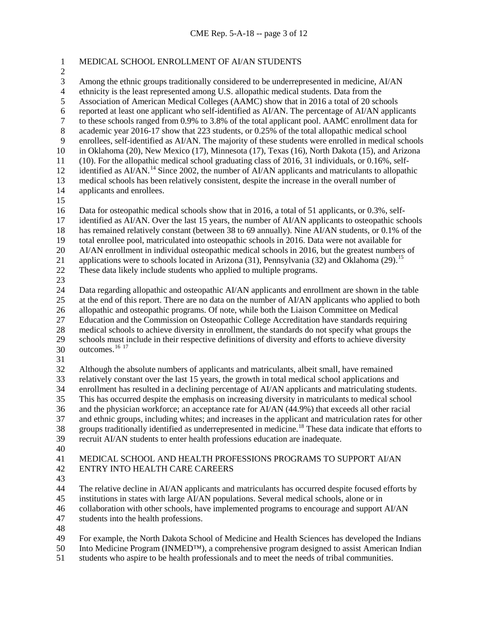# MEDICAL SCHOOL ENROLLMENT OF AI/AN STUDENTS

3 Among the ethnic groups traditionally considered to be underrepresented in medicine, AI/AN ethnicity is the least represented among U.S. allopathic medical students. Data from the

4 ethnicity is the least represented among U.S. allopathic medical students. Data from the<br>5 Association of American Medical Colleges (AAMC) show that in 2016 a total of 20 sch

Association of American Medical Colleges (AAMC) show that in 2016 a total of 20 schools

 reported at least one applicant who self-identified as AI/AN. The percentage of AI/AN applicants to these schools ranged from 0.9% to 3.8% of the total applicant pool. AAMC enrollment data for

academic year 2016-17 show that 223 students, or 0.25% of the total allopathic medical school

enrollees, self-identified as AI/AN. The majority of these students were enrolled in medical schools

in Oklahoma (20), New Mexico (17), Minnesota (17), Texas (16), North Dakota (15), and Arizona

(10). For the allopathic medical school graduating class of 2016, 31 individuals, or 0.16%, self-

12 identified as  $A1/AN$ <sup>[14](#page-10-13)</sup> Since 2002, the number of  $A1/AN$  applicants and matriculants to allopathic

- 13 medical schools has been relatively consistent, despite the increase in the overall number of applicants and enrollees. applicants and enrollees.
- 

Data for osteopathic medical schools show that in 2016, a total of 51 applicants, or 0.3%, self-

identified as AI/AN. Over the last 15 years, the number of AI/AN applicants to osteopathic schools

has remained relatively constant (between 38 to 69 annually). Nine AI/AN students, or 0.1% of the

total enrollee pool, matriculated into osteopathic schools in 2016. Data were not available for

AI/AN enrollment in individual osteopathic medical schools in 2016, but the greatest numbers of

21 applications were to schools located in Arizona  $(31)$ , Pennsylvania  $(32)$  and Oklahoma  $(29)$ .<sup>[15](#page-10-14)</sup>

These data likely include students who applied to multiple programs.

 Data regarding allopathic and osteopathic AI/AN applicants and enrollment are shown in the table at the end of this report. There are no data on the number of AI/AN applicants who applied to both allopathic and osteopathic programs. Of note, while both the Liaison Committee on Medical Education and the Commission on Osteopathic College Accreditation have standards requiring 28 medical schools to achieve diversity in enrollment, the standards do not specify what groups the<br>29 schools must include in their respective definitions of diversity and efforts to achieve diversity schools must include in their respective definitions of diversity and efforts to achieve diversity outcomes.<sup>[16](#page-10-15) [17](#page-10-16)</sup>

 Although the absolute numbers of applicants and matriculants, albeit small, have remained relatively constant over the last 15 years, the growth in total medical school applications and enrollment has resulted in a declining percentage of AI/AN applicants and matriculating students. This has occurred despite the emphasis on increasing diversity in matriculants to medical school and the physician workforce; an acceptance rate for AI/AN (44.9%) that exceeds all other racial and ethnic groups, including whites; and increases in the applicant and matriculation rates for other groups traditionally identified as underrepresented in medicine.[18](#page-11-0) These data indicate that efforts to recruit AI/AN students to enter health professions education are inadequate.

#### MEDICAL SCHOOL AND HEALTH PROFESSIONS PROGRAMS TO SUPPORT AI/AN ENTRY INTO HEALTH CARE CAREERS

 The relative decline in AI/AN applicants and matriculants has occurred despite focused efforts by institutions in states with large AI/AN populations. Several medical schools, alone or in

collaboration with other schools, have implemented programs to encourage and support AI/AN

students into the health professions.

For example, the North Dakota School of Medicine and Health Sciences has developed the Indians

Into Medicine Program (INMED™), a comprehensive program designed to assist American Indian

students who aspire to be health professionals and to meet the needs of tribal communities.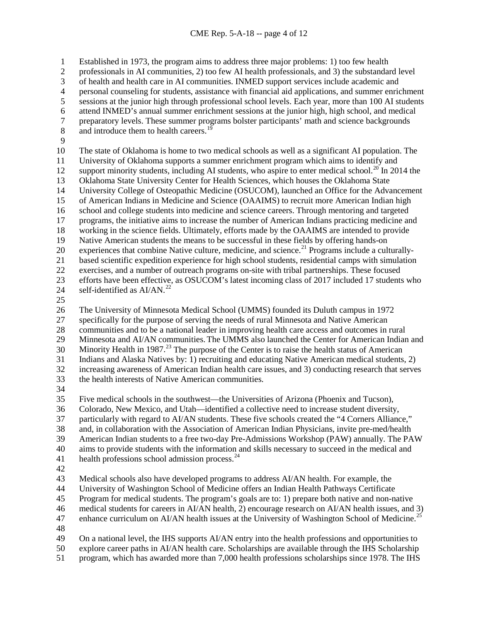Established in 1973, the program aims to address three major problems: 1) too few health

professionals in AI communities, 2) too few AI health professionals, and 3) the substandard level

3 of health and health care in AI communities. INMED support services include academic and<br>4 personal counseling for students, assistance with financial aid applications, and summer enric

4 personal counseling for students, assistance with financial aid applications, and summer enrichment<br>5 sessions at the junior high through professional school levels. Each year, more than 100 AI students

sessions at the junior high through professional school levels. Each year, more than 100 AI students

6 attend INMED's annual summer enrichment sessions at the junior high, high school, and medical<br>7 energy energy levels. These summer programs bolster participants' math and science backgrounds

7 preparatory levels. These summer programs bolster participants' math and science backgrounds<br>8 and introduce them to health careers.<sup>19</sup> 8 and introduce them to health careers.<sup>[19](#page-11-1)</sup>

 The state of Oklahoma is home to two medical schools as well as a significant AI population. The University of Oklahoma supports a summer enrichment program which aims to identify and

12 support minority students, including AI students, who aspire to enter medical school.<sup>[20](#page-11-2)</sup> In 2014 the

13 Oklahoma State University Center for Health Sciences, which houses the Oklahoma State<br>14 University College of Osteopathic Medicine (OSUCOM), launched an Office for the Adva

University College of Osteopathic Medicine (OSUCOM), launched an Office for the Advancement

 of American Indians in Medicine and Science (OAAIMS) to recruit more American Indian high school and college students into medicine and science careers. Through mentoring and targeted

programs, the initiative aims to increase the number of American Indians practicing medicine and

working in the science fields. Ultimately, efforts made by the OAAIMS are intended to provide

Native American students the means to be successful in these fields by offering hands-on

20 experiences that combine Native culture, medicine, and science.<sup>[21](#page-11-3)</sup> Programs include a culturally-

based scientific expedition experience for high school students, residential camps with simulation

exercises, and a number of outreach programs on-site with tribal partnerships. These focused

 efforts have been effective, as OSUCOM's latest incoming class of 2017 included 17 students who 24 self-identified as  $AI/AN.<sup>22</sup>$  $AI/AN.<sup>22</sup>$  $AI/AN.<sup>22</sup>$ 

The University of Minnesota Medical School (UMMS) founded its Duluth campus in 1972

specifically for the purpose of serving the needs of rural Minnesota and Native American

28 communities and to be a national leader in improving health care access and outcomes in rural<br>29 Minnesota and AI/AN communities. The UMMS also launched the Center for American Indian

Minnesota and AI/AN communities.The UMMS also launched the Center for American Indian and

30 Minority Health in 1987.<sup>[23](#page-11-5)</sup> The purpose of the Center is to raise the health status of American

Indians and Alaska Natives by: 1) recruiting and educating Native American medical students, 2)

increasing awareness of American Indian health care issues, and 3) conducting research that serves

the health interests of Native American communities.

Five medical schools in the southwest—the Universities of Arizona (Phoenix and Tucson),

Colorado, New Mexico, and Utah—identified a collective need to increase student diversity,

particularly with regard to AI/AN students. These five schools created the "4 Corners Alliance,"

and, in collaboration with the Association of American Indian Physicians, invite pre-med/health

American Indian students to a free two-day Pre-Admissions Workshop (PAW) annually. The PAW

aims to provide students with the information and skills necessary to succeed in the medical and

- 41 health professions school admission process. $^{24}$  $^{24}$  $^{24}$
- 

Medical schools also have developed programs to address AI/AN health. For example, the

University of Washington School of Medicine offers an Indian Health Pathways Certificate

Program for medical students. The program's goals are to: 1) prepare both native and non-native

medical students for careers in AI/AN health, 2) encourage research on AI/AN health issues, and 3)

47 enhance curriculum on AI/AN health issues at the University of Washington School of Medicine.<sup>[25](#page-11-7)</sup>

On a national level, the IHS supports AI/AN entry into the health professions and opportunities to

explore career paths in AI/AN health care. Scholarships are available through the IHS Scholarship

program, which has awarded more than 7,000 health professions scholarships since 1978. The IHS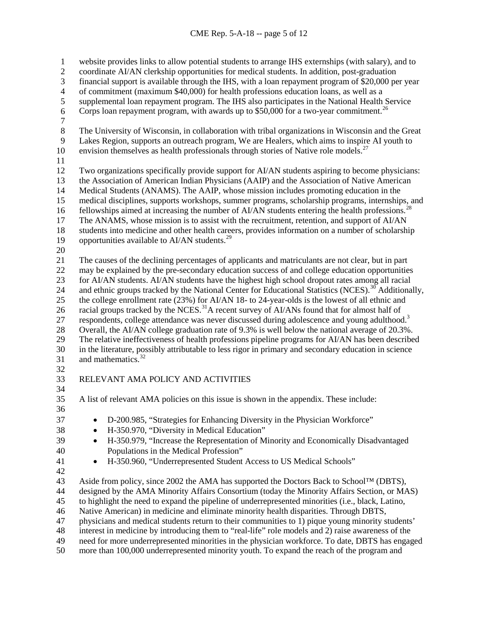website provides links to allow potential students to arrange IHS externships (with salary), and to coordinate AI/AN clerkship opportunities for medical students. In addition, post-graduation 3 financial support is available through the IHS, with a loan repayment program of \$20,000 per year<br>4 of commitment (maximum \$40,000) for health professions education loans, as well as a 4 of commitment (maximum \$40,000) for health professions education loans, as well as a supplemental loan repayment program. The IHS also participates in the National Health supplemental loan repayment program. The IHS also participates in the National Health Service 6 Corps loan repayment program, with awards up to  $$50,000$  for a two-year commitment.<sup>[26](#page-11-8)</sup>  $\begin{array}{c} 7 \\ 8 \end{array}$ The University of Wisconsin, in collaboration with tribal organizations in Wisconsin and the Great Lakes Region, supports an outreach program, We are Healers, which aims to inspire AI youth to 10 envision themselves as health professionals through stories of Native role models.<sup>[27](#page-11-9)</sup> Two organizations specifically provide support for AI/AN students aspiring to become physicians: 13 the Association of American Indian Physicians (AAIP) and the Association of Native American<br>14 Medical Students (ANAMS). The AAIP, whose mission includes promoting education in the Medical Students (ANAMS). The AAIP, whose mission includes promoting education in the medical disciplines, supports workshops, summer programs, scholarship programs, internships, and fellowships aimed at increasing the number of AI/AN students entering the health professions.<sup>[28](#page-11-10)</sup> The ANAMS, whose mission is to assist with the recruitment, retention, and support of AI/AN students into medicine and other health careers, provides information on a number of scholarship 19 opportunities available to AI/AN students.<sup>[29](#page-11-11)</sup> The causes of the declining percentages of applicants and matriculants are not clear, but in part may be explained by the pre-secondary education success of and college education opportunities for AI/AN students. AI/AN students have the highest high school dropout rates among all racial 24 and ethnic groups tracked by the National Center for Educational Statistics (NCES).<sup>[30](#page-11-12)</sup> Additionally, the college enrollment rate (23%) for AI/AN 18- to 24-year-olds is the lowest of all ethnic and 26 racial groups tracked by the NCES.<sup>[31](#page-11-13)</sup> A recent survey of AI/ANs found that for almost half of 27 respondents, college attendance was never discussed during adolescence and young adulthood.<sup>3</sup> 28 Overall, the AI/AN college graduation rate of 9.3% is well below the national average of 20.3%.<br>29 The relative ineffectiveness of health professions pipeline programs for AI/AN has been describe The relative ineffectiveness of health professions pipeline programs for AI/AN has been described in the literature, possibly attributable to less rigor in primary and secondary education in science 31 and mathematics. RELEVANT AMA POLICY AND ACTIVITIES A list of relevant AMA policies on this issue is shown in the appendix. These include: • D-200.985, "Strategies for Enhancing Diversity in the Physician Workforce" • H-350.970, "Diversity in Medical Education" • H-350.979, "Increase the Representation of Minority and Economically Disadvantaged Populations in the Medical Profession" • H-350.960, "Underrepresented Student Access to US Medical Schools" Aside from policy, since 2002 the AMA has supported the Doctors Back to School™ (DBTS), 44 designed by the AMA Minority Affairs Consortium (today the Minority Affairs Section, or MAS)<br>45 to highlight the need to expand the pipeline of underrepresented minorities (i.e., black, Latino, to highlight the need to expand the pipeline of underrepresented minorities (i.e., black, Latino, Native American) in medicine and eliminate minority health disparities. Through DBTS, physicians and medical students return to their communities to 1) pique young minority students' interest in medicine by introducing them to "real-life" role models and 2) raise awareness of the need for more underrepresented minorities in the physician workforce. To date, DBTS has engaged more than 100,000 underrepresented minority youth. To expand the reach of the program and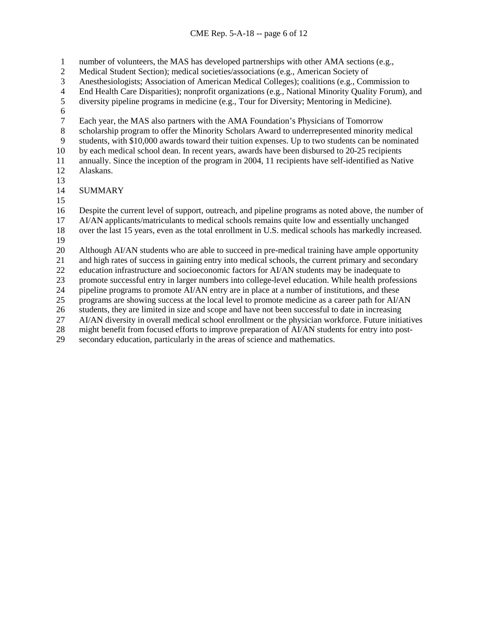number of volunteers, the MAS has developed partnerships with other AMA sections (e.g.,

- Medical Student Section); medical societies/associations (e.g., American Society of
- Anesthesiologists; Association of American Medical Colleges); coalitions (e.g., Commission to
- 4 End Health Care Disparities); nonprofit organizations (e.g., National Minority Quality Forum), and<br>5 diversity pipeline programs in medicine (e.g., Tour for Diversity; Mentoring in Medicine).
- diversity pipeline programs in medicine (e.g., Tour for Diversity; Mentoring in Medicine).
- 6<br>7
- 7 Each year, the MAS also partners with the AMA Foundation's Physicians of Tomorrow<br>8 scholarship program to offer the Minority Scholars Award to underrepresented minority
- scholarship program to offer the Minority Scholars Award to underrepresented minority medical
- students, with \$10,000 awards toward their tuition expenses. Up to two students can be nominated
- by each medical school dean. In recent years, awards have been disbursed to 20-25 recipients
- annually. Since the inception of the program in 2004, 11 recipients have self-identified as Native Alaskans.
- 
- **SUMMARY**
- 

 Despite the current level of support, outreach, and pipeline programs as noted above, the number of AI/AN applicants/matriculants to medical schools remains quite low and essentially unchanged

- over the last 15 years, even as the total enrollment in U.S. medical schools has markedly increased.
- 

20 Although AI/AN students who are able to succeed in pre-medical training have ample opportunity<br>21 and high rates of success in gaining entry into medical schools, the current primary and secondary

and high rates of success in gaining entry into medical schools, the current primary and secondary

education infrastructure and socioeconomic factors for AI/AN students may be inadequate to

promote successful entry in larger numbers into college-level education. While health professions

24 pipeline programs to promote AI/AN entry are in place at a number of institutions, and these

programs are showing success at the local level to promote medicine as a career path for AI/AN

students, they are limited in size and scope and have not been successful to date in increasing

AI/AN diversity in overall medical school enrollment or the physician workforce. Future initiatives

might benefit from focused efforts to improve preparation of AI/AN students for entry into post-

secondary education, particularly in the areas of science and mathematics.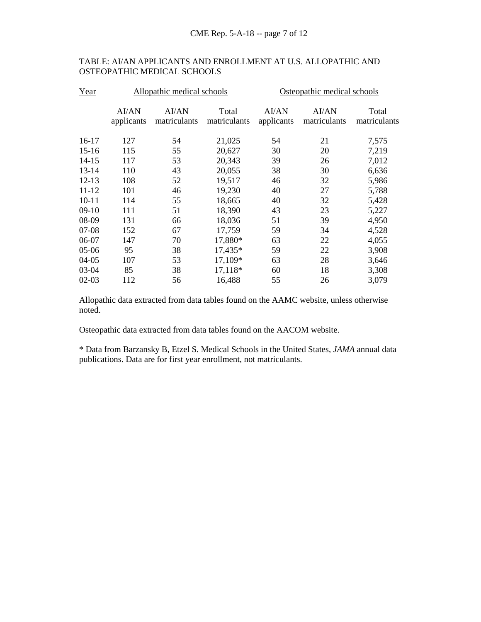## TABLE: AI/AN APPLICANTS AND ENROLLMENT AT U.S. ALLOPATHIC AND OSTEOPATHIC MEDICAL SCHOOLS

| Year      | Allopathic medical schools |                       |                       | Osteopathic medical schools |                       |                       |
|-----------|----------------------------|-----------------------|-----------------------|-----------------------------|-----------------------|-----------------------|
|           | AI/AN<br>applicants        | AI/AN<br>matriculants | Total<br>matriculants | <b>AI/AN</b><br>applicants  | AI/AN<br>matriculants | Total<br>matriculants |
| $16-17$   | 127                        | 54                    | 21,025                | 54                          | 21                    | 7,575                 |
| $15 - 16$ | 115                        | 55                    | 20,627                | 30                          | 20                    | 7,219                 |
| $14 - 15$ | 117                        | 53                    | 20,343                | 39                          | 26                    | 7,012                 |
| 13-14     | 110                        | 43                    | 20,055                | 38                          | 30                    | 6,636                 |
| $12 - 13$ | 108                        | 52                    | 19,517                | 46                          | 32                    | 5,986                 |
| $11 - 12$ | 101                        | 46                    | 19,230                | 40                          | 27                    | 5,788                 |
| $10 - 11$ | 114                        | 55                    | 18,665                | 40                          | 32                    | 5,428                 |
| $09-10$   | 111                        | 51                    | 18,390                | 43                          | 23                    | 5,227                 |
| 08-09     | 131                        | 66                    | 18,036                | 51                          | 39                    | 4,950                 |
| $07-08$   | 152                        | 67                    | 17,759                | 59                          | 34                    | 4,528                 |
| 06-07     | 147                        | 70                    | 17,880*               | 63                          | 22                    | 4,055                 |
| $05-06$   | 95                         | 38                    | 17,435*               | 59                          | 22                    | 3,908                 |
| $04 - 05$ | 107                        | 53                    | 17,109*               | 63                          | 28                    | 3,646                 |
| 03-04     | 85                         | 38                    | 17,118*               | 60                          | 18                    | 3,308                 |
| $02-03$   | 112                        | 56                    | 16,488                | 55                          | 26                    | 3,079                 |

Allopathic data extracted from data tables found on the AAMC website, unless otherwise noted.

Osteopathic data extracted from data tables found on the AACOM website.

\* Data from Barzansky B, Etzel S. Medical Schools in the United States, *JAMA* annual data publications. Data are for first year enrollment, not matriculants.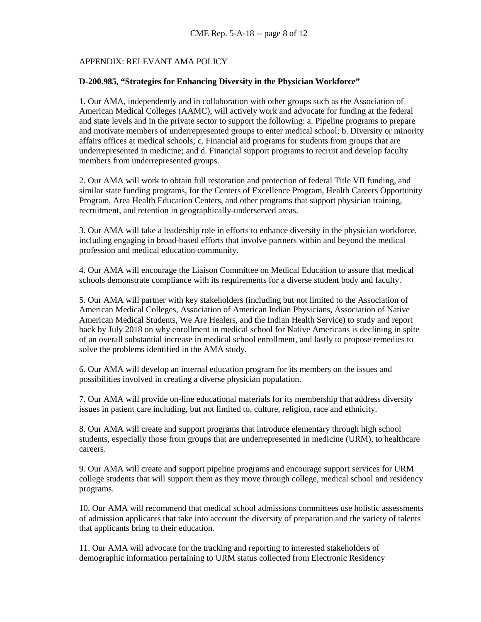## APPENDIX: RELEVANT AMA POLICY

#### **D-200.985, "Strategies for Enhancing Diversity in the Physician Workforce"**

1. Our AMA, independently and in collaboration with other groups such as the Association of American Medical Colleges (AAMC), will actively work and advocate for funding at the federal and state levels and in the private sector to support the following: a. Pipeline programs to prepare and motivate members of underrepresented groups to enter medical school; b. Diversity or minority affairs offices at medical schools; c. Financial aid programs for students from groups that are underrepresented in medicine; and d. Financial support programs to recruit and develop faculty members from underrepresented groups.

2. Our AMA will work to obtain full restoration and protection of federal Title VII funding, and similar state funding programs, for the Centers of Excellence Program, Health Careers Opportunity Program, Area Health Education Centers, and other programs that support physician training, recruitment, and retention in geographically-underserved areas.

3. Our AMA will take a leadership role in efforts to enhance diversity in the physician workforce, including engaging in broad-based efforts that involve partners within and beyond the medical profession and medical education community.

4. Our AMA will encourage the Liaison Committee on Medical Education to assure that medical schools demonstrate compliance with its requirements for a diverse student body and faculty.

5. Our AMA will partner with key stakeholders (including but not limited to the Association of American Medical Colleges, Association of American Indian Physicians, Association of Native American Medical Students, We Are Healers, and the Indian Health Service) to study and report back by July 2018 on why enrollment in medical school for Native Americans is declining in spite of an overall substantial increase in medical school enrollment, and lastly to propose remedies to solve the problems identified in the AMA study.

6. Our AMA will develop an internal education program for its members on the issues and possibilities involved in creating a diverse physician population.

7. Our AMA will provide on-line educational materials for its membership that address diversity issues in patient care including, but not limited to, culture, religion, race and ethnicity.

8. Our AMA will create and support programs that introduce elementary through high school students, especially those from groups that are underrepresented in medicine (URM), to healthcare careers.

9. Our AMA will create and support pipeline programs and encourage support services for URM college students that will support them as they move through college, medical school and residency programs.

10. Our AMA will recommend that medical school admissions committees use holistic assessments of admission applicants that take into account the diversity of preparation and the variety of talents that applicants bring to their education.

11. Our AMA will advocate for the tracking and reporting to interested stakeholders of demographic information pertaining to URM status collected from Electronic Residency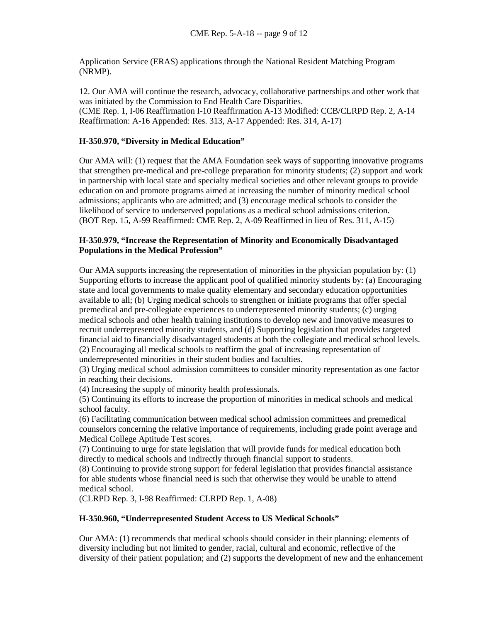Application Service (ERAS) applications through the National Resident Matching Program (NRMP).

12. Our AMA will continue the research, advocacy, collaborative partnerships and other work that was initiated by the Commission to End Health Care Disparities. (CME Rep. 1, I-06 Reaffirmation I-10 Reaffirmation A-13 Modified: CCB/CLRPD Rep. 2, A-14 Reaffirmation: A-16 Appended: Res. 313, A-17 Appended: Res. 314, A-17)

## **H-350.970, "Diversity in Medical Education"**

Our AMA will: (1) request that the AMA Foundation seek ways of supporting innovative programs that strengthen pre-medical and pre-college preparation for minority students; (2) support and work in partnership with local state and specialty medical societies and other relevant groups to provide education on and promote programs aimed at increasing the number of minority medical school admissions; applicants who are admitted; and (3) encourage medical schools to consider the likelihood of service to underserved populations as a medical school admissions criterion. (BOT Rep. 15, A-99 Reaffirmed: CME Rep. 2, A-09 Reaffirmed in lieu of Res. 311, A-15)

## **H-350.979, "Increase the Representation of Minority and Economically Disadvantaged Populations in the Medical Profession"**

Our AMA supports increasing the representation of minorities in the physician population by: (1) Supporting efforts to increase the applicant pool of qualified minority students by: (a) Encouraging state and local governments to make quality elementary and secondary education opportunities available to all; (b) Urging medical schools to strengthen or initiate programs that offer special premedical and pre-collegiate experiences to underrepresented minority students; (c) urging medical schools and other health training institutions to develop new and innovative measures to recruit underrepresented minority students, and (d) Supporting legislation that provides targeted financial aid to financially disadvantaged students at both the collegiate and medical school levels. (2) Encouraging all medical schools to reaffirm the goal of increasing representation of underrepresented minorities in their student bodies and faculties.

(3) Urging medical school admission committees to consider minority representation as one factor in reaching their decisions.

(4) Increasing the supply of minority health professionals.

(5) Continuing its efforts to increase the proportion of minorities in medical schools and medical school faculty.

(6) Facilitating communication between medical school admission committees and premedical counselors concerning the relative importance of requirements, including grade point average and Medical College Aptitude Test scores.

(7) Continuing to urge for state legislation that will provide funds for medical education both directly to medical schools and indirectly through financial support to students.

(8) Continuing to provide strong support for federal legislation that provides financial assistance for able students whose financial need is such that otherwise they would be unable to attend medical school.

(CLRPD Rep. 3, I-98 Reaffirmed: CLRPD Rep. 1, A-08)

## **H-350.960, "Underrepresented Student Access to US Medical Schools"**

Our AMA: (1) recommends that medical schools should consider in their planning: elements of diversity including but not limited to gender, racial, cultural and economic, reflective of the diversity of their patient population; and (2) supports the development of new and the enhancement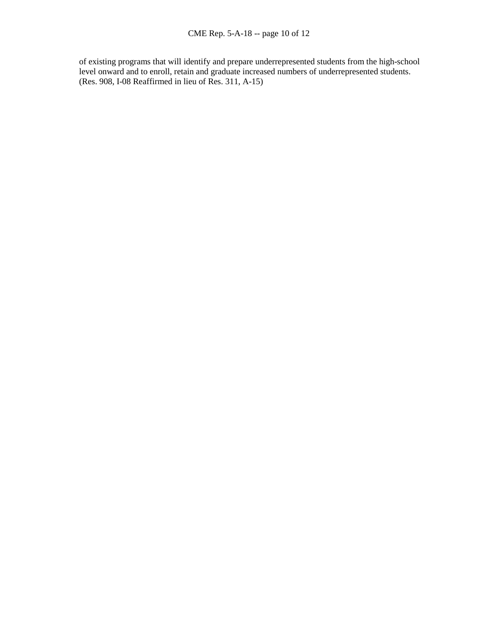of existing programs that will identify and prepare underrepresented students from the high-school level onward and to enroll, retain and graduate increased numbers of underrepresented students. (Res. 908, I-08 Reaffirmed in lieu of Res. 311, A-15)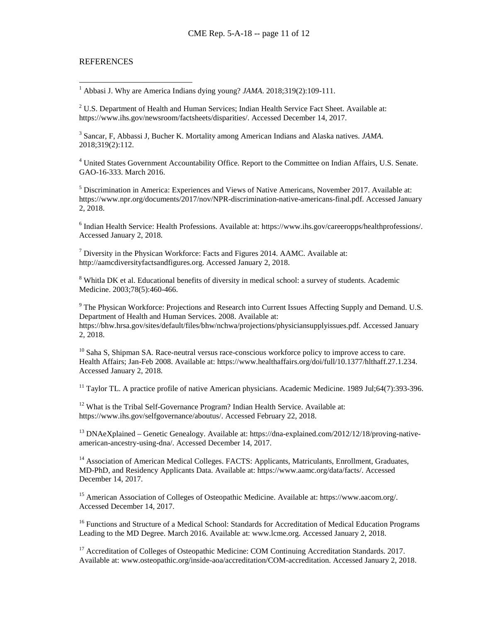#### **REFERENCES**

1 Abbasi J. Why are America Indians dying young? *JAMA*. 2018;319(2):109-111.

<span id="page-10-1"></span><span id="page-10-0"></span><sup>2</sup> U.S. Department of Health and Human Services; Indian Health Service Fact Sheet. Available at: https://www.ihs.gov/newsroom/factsheets/disparities/. Accessed December 14, 2017.

<span id="page-10-2"></span><sup>3</sup> Sancar, F, Abbassi J, Bucher K. Mortality among American Indians and Alaska natives. *JAMA*. 2018;319(2):112.

<span id="page-10-3"></span><sup>4</sup> United States Government Accountability Office. Report to the Committee on Indian Affairs, U.S. Senate. GAO-16-333. March 2016.

<span id="page-10-4"></span><sup>5</sup> Discrimination in America: Experiences and Views of Native Americans, November 2017. Available at: https://www.npr.org/documents/2017/nov/NPR-discrimination-native-americans-final.pdf. Accessed January 2, 2018.

<span id="page-10-5"></span><sup>6</sup> Indian Health Service: Health Professions. Available at: https://www.ihs.gov/careeropps/healthprofessions/. Accessed January 2, 2018.

<span id="page-10-6"></span><sup>7</sup> Diversity in the Physican Workforce: Facts and Figures 2014. AAMC. Available at: http://aamcdiversityfactsandfigures.org. Accessed January 2, 2018.

<span id="page-10-7"></span><sup>8</sup> Whitla DK et al. Educational benefits of diversity in medical school: a survey of students. Academic Medicine. 2003;78(5):460-466.

<span id="page-10-8"></span><sup>9</sup> The Physican Workforce: Projections and Research into Current Issues Affecting Supply and Demand. U.S. Department of Health and Human Services. 2008. Available at: https://bhw.hrsa.gov/sites/default/files/bhw/nchwa/projections/physiciansupplyissues.pdf. Accessed January 2, 2018.

<span id="page-10-9"></span> $10$  Saha S, Shipman SA. Race-neutral versus race-conscious workforce policy to improve access to care. Health Affairs; Jan-Feb 2008. Available at: https://www.healthaffairs.org/doi/full/10.1377/hlthaff.27.1.234. Accessed January 2, 2018.

<span id="page-10-10"></span> $11$  Taylor TL. A practice profile of native American physicians. Academic Medicine. 1989 Jul:64(7):393-396.

<span id="page-10-11"></span><sup>12</sup> What is the Tribal Self-Governance Program? Indian Health Service. Available at: https://www.ihs.gov/selfgovernance/aboutus/. Accessed February 22, 2018.

<span id="page-10-12"></span><sup>13</sup> DNAeXplained – Genetic Genealogy. Available at: https://dna-explained.com/2012/12/18/proving-nativeamerican-ancestry-using-dna/. Accessed December 14, 2017.

<span id="page-10-13"></span><sup>14</sup> Association of American Medical Colleges. FACTS: Applicants, Matriculants, Enrollment, Graduates, MD-PhD, and Residency Applicants Data. Available at: https://www.aamc.org/data/facts/. Accessed December 14, 2017.

<span id="page-10-14"></span><sup>15</sup> American Association of Colleges of Osteopathic Medicine. Available at: https://www.aacom.org/. Accessed December 14, 2017.

<span id="page-10-15"></span><sup>16</sup> Functions and Structure of a Medical School: Standards for Accreditation of Medical Education Programs Leading to the MD Degree. March 2016. Available at: www.lcme.org. Accessed January 2, 2018.

<span id="page-10-16"></span><sup>17</sup> Accreditation of Colleges of Osteopathic Medicine: COM Continuing Accreditation Standards. 2017. Available at: www.osteopathic.org/inside-aoa/accreditation/COM-accreditation. Accessed January 2, 2018.